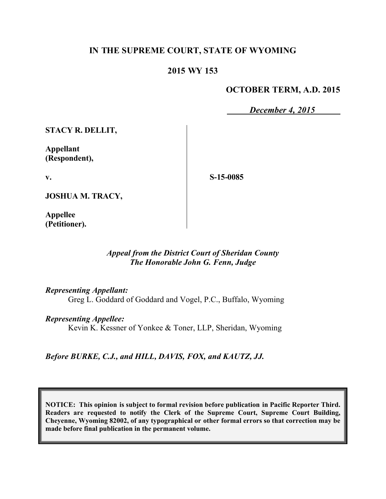# **IN THE SUPREME COURT, STATE OF WYOMING**

### **2015 WY 153**

### **OCTOBER TERM, A.D. 2015**

*December 4, 2015*

**STACY R. DELLIT,**

**Appellant (Respondent),**

**v.**

**S-15-0085**

**JOSHUA M. TRACY,**

**Appellee (Petitioner).**

### *Appeal from the District Court of Sheridan County The Honorable John G. Fenn, Judge*

*Representing Appellant:*

Greg L. Goddard of Goddard and Vogel, P.C., Buffalo, Wyoming

*Representing Appellee:*

Kevin K. Kessner of Yonkee & Toner, LLP, Sheridan, Wyoming

*Before BURKE, C.J., and HILL, DAVIS, FOX, and KAUTZ, JJ.*

**NOTICE: This opinion is subject to formal revision before publication in Pacific Reporter Third. Readers are requested to notify the Clerk of the Supreme Court, Supreme Court Building, Cheyenne, Wyoming 82002, of any typographical or other formal errors so that correction may be made before final publication in the permanent volume.**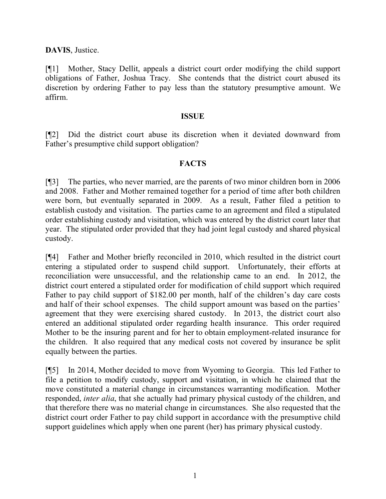**DAVIS**, Justice.

[¶1] Mother, Stacy Dellit, appeals a district court order modifying the child support obligations of Father, Joshua Tracy. She contends that the district court abused its discretion by ordering Father to pay less than the statutory presumptive amount. We affirm.

#### **ISSUE**

[¶2] Did the district court abuse its discretion when it deviated downward from Father's presumptive child support obligation?

### **FACTS**

[¶3] The parties, who never married, are the parents of two minor children born in 2006 and 2008. Father and Mother remained together for a period of time after both children were born, but eventually separated in 2009. As a result, Father filed a petition to establish custody and visitation. The parties came to an agreement and filed a stipulated order establishing custody and visitation, which was entered by the district court later that year. The stipulated order provided that they had joint legal custody and shared physical custody.

[¶4] Father and Mother briefly reconciled in 2010, which resulted in the district court entering a stipulated order to suspend child support. Unfortunately, their efforts at reconciliation were unsuccessful, and the relationship came to an end. In 2012, the district court entered a stipulated order for modification of child support which required Father to pay child support of \$182.00 per month, half of the children's day care costs and half of their school expenses. The child support amount was based on the parties' agreement that they were exercising shared custody. In 2013, the district court also entered an additional stipulated order regarding health insurance. This order required Mother to be the insuring parent and for her to obtain employment-related insurance for the children. It also required that any medical costs not covered by insurance be split equally between the parties.

[¶5] In 2014, Mother decided to move from Wyoming to Georgia. This led Father to file a petition to modify custody, support and visitation, in which he claimed that the move constituted a material change in circumstances warranting modification. Mother responded, *inter alia*, that she actually had primary physical custody of the children, and that therefore there was no material change in circumstances. She also requested that the district court order Father to pay child support in accordance with the presumptive child support guidelines which apply when one parent (her) has primary physical custody.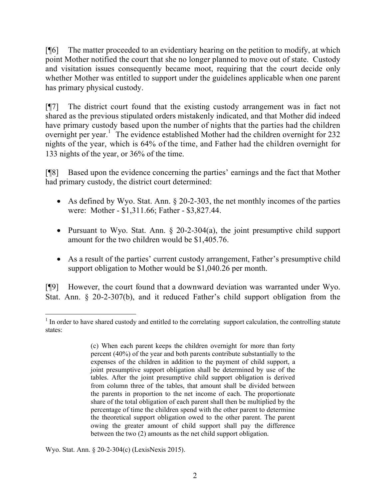[¶6] The matter proceeded to an evidentiary hearing on the petition to modify, at which point Mother notified the court that she no longer planned to move out of state. Custody and visitation issues consequently became moot, requiring that the court decide only whether Mother was entitled to support under the guidelines applicable when one parent has primary physical custody.

[¶7] The district court found that the existing custody arrangement was in fact not shared as the previous stipulated orders mistakenly indicated, and that Mother did indeed have primary custody based upon the number of nights that the parties had the children overnight per year.<sup>1</sup> The evidence established Mother had the children overnight for 232 nights of the year, which is 64% of the time, and Father had the children overnight for 133 nights of the year, or 36% of the time.

[¶8] Based upon the evidence concerning the parties' earnings and the fact that Mother had primary custody, the district court determined:

- As defined by Wyo. Stat. Ann.  $\S 20$ -2-303, the net monthly incomes of the parties were: Mother - \$1,311.66; Father - \$3,827.44.
- Pursuant to Wyo. Stat. Ann. § 20-2-304(a), the joint presumptive child support amount for the two children would be \$1,405.76.
- As a result of the parties' current custody arrangement, Father's presumptive child support obligation to Mother would be \$1,040.26 per month.

[¶9] However, the court found that a downward deviation was warranted under Wyo. Stat. Ann. § 20-2-307(b), and it reduced Father's child support obligation from the

Wyo. Stat. Ann. § 20-2-304(c) (LexisNexis 2015).

 $\overline{a}$ <sup>1</sup> In order to have shared custody and entitled to the correlating support calculation, the controlling statute states:

<sup>(</sup>c) When each parent keeps the children overnight for more than forty percent (40%) of the year and both parents contribute substantially to the expenses of the children in addition to the payment of child support, a joint presumptive support obligation shall be determined by use of the tables. After the joint presumptive child support obligation is derived from column three of the tables, that amount shall be divided between the parents in proportion to the net income of each. The proportionate share of the total obligation of each parent shall then be multiplied by the percentage of time the children spend with the other parent to determine the theoretical support obligation owed to the other parent. The parent owing the greater amount of child support shall pay the difference between the two (2) amounts as the net child support obligation.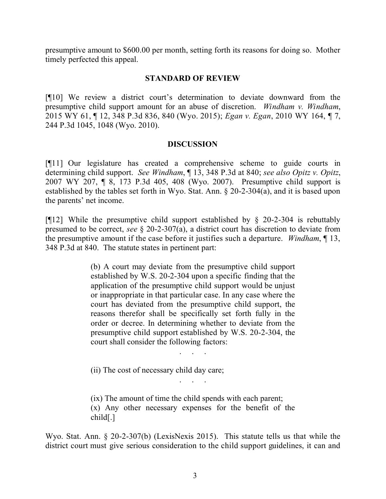presumptive amount to \$600.00 per month, setting forth its reasons for doing so. Mother timely perfected this appeal.

### **STANDARD OF REVIEW**

[¶10] We review a district court's determination to deviate downward from the presumptive child support amount for an abuse of discretion. *Windham v. Windham*, 2015 WY 61, ¶ 12, 348 P.3d 836, 840 (Wyo. 2015); *Egan v. Egan*, 2010 WY 164, ¶ 7, 244 P.3d 1045, 1048 (Wyo. 2010).

### **DISCUSSION**

[¶11] Our legislature has created a comprehensive scheme to guide courts in determining child support. *See Windham*, ¶ 13, 348 P.3d at 840; *see also Opitz v. Opitz*, 2007 WY 207, ¶ 8, 173 P.3d 405, 408 (Wyo. 2007). Presumptive child support is established by the tables set forth in Wyo. Stat. Ann. § 20-2-304(a), and it is based upon the parents' net income.

[ $[12]$ ] While the presumptive child support established by  $\S$  20-2-304 is rebuttably presumed to be correct, *see* § 20-2-307(a), a district court has discretion to deviate from the presumptive amount if the case before it justifies such a departure. *Windham*, ¶ 13, 348 P.3d at 840. The statute states in pertinent part:

> (b) A court may deviate from the presumptive child support established by W.S. 20-2-304 upon a specific finding that the application of the presumptive child support would be unjust or inappropriate in that particular case. In any case where the court has deviated from the presumptive child support, the reasons therefor shall be specifically set forth fully in the order or decree. In determining whether to deviate from the presumptive child support established by W.S. 20-2-304, the court shall consider the following factors:

> > . . . . .<br>. . . . . .

. . . . .<br>. . . . . .

(ii) The cost of necessary child day care;

(ix) The amount of time the child spends with each parent; (x) Any other necessary expenses for the benefit of the child[.]

Wyo. Stat. Ann. § 20-2-307(b) (LexisNexis 2015). This statute tells us that while the district court must give serious consideration to the child support guidelines, it can and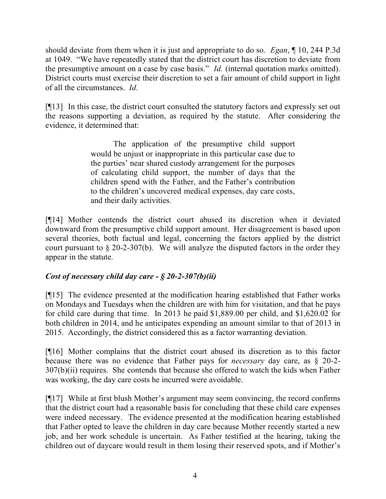should deviate from them when it is just and appropriate to do so. *Egan*, ¶ 10, 244 P.3d at 1049. "We have repeatedly stated that the district court has discretion to deviate from the presumptive amount on a case by case basis." *Id.* (internal quotation marks omitted). District courts must exercise their discretion to set a fair amount of child support in light of all the circumstances. *Id.* 

[¶13] In this case, the district court consulted the statutory factors and expressly set out the reasons supporting a deviation, as required by the statute. After considering the evidence, it determined that:

> The application of the presumptive child support would be unjust or inappropriate in this particular case due to the parties' near shared custody arrangement for the purposes of calculating child support, the number of days that the children spend with the Father, and the Father's contribution to the children's uncovered medical expenses, day care costs, and their daily activities.

[¶14] Mother contends the district court abused its discretion when it deviated downward from the presumptive child support amount. Her disagreement is based upon several theories, both factual and legal, concerning the factors applied by the district court pursuant to § 20-2-307(b). We will analyze the disputed factors in the order they appear in the statute.

### *Cost of necessary child day care - § 20-2-307(b)(ii)*

[¶15] The evidence presented at the modification hearing established that Father works on Mondays and Tuesdays when the children are with him for visitation, and that he pays for child care during that time. In 2013 he paid \$1,889.00 per child, and \$1,620.02 for both children in 2014, and he anticipates expending an amount similar to that of 2013 in 2015. Accordingly, the district considered this as a factor warranting deviation.

[¶16] Mother complains that the district court abused its discretion as to this factor because there was no evidence that Father pays for *necessary* day care, as § 20-2- 307(b)(ii) requires. She contends that because she offered to watch the kids when Father was working, the day care costs he incurred were avoidable.

[¶17] While at first blush Mother's argument may seem convincing, the record confirms that the district court had a reasonable basis for concluding that these child care expenses were indeed necessary. The evidence presented at the modification hearing established that Father opted to leave the children in day care because Mother recently started a new job, and her work schedule is uncertain. As Father testified at the hearing, taking the children out of daycare would result in them losing their reserved spots, and if Mother's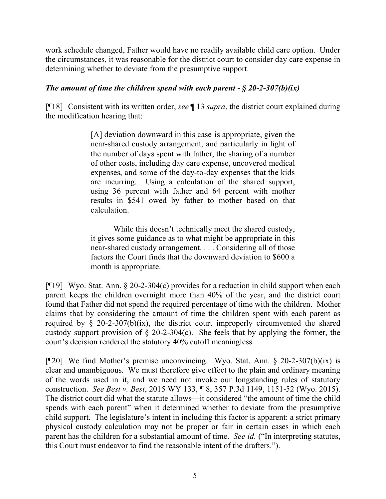work schedule changed, Father would have no readily available child care option. Under the circumstances, it was reasonable for the district court to consider day care expense in determining whether to deviate from the presumptive support.

# *The amount of time the children spend with each parent - § 20-2-307(b)(ix)*

[¶18] Consistent with its written order, *see* ¶ 13 *supra*, the district court explained during the modification hearing that:

> [A] deviation downward in this case is appropriate, given the near-shared custody arrangement, and particularly in light of the number of days spent with father, the sharing of a number of other costs, including day care expense, uncovered medical expenses, and some of the day-to-day expenses that the kids are incurring. Using a calculation of the shared support, using 36 percent with father and 64 percent with mother results in \$541 owed by father to mother based on that calculation.

> While this doesn't technically meet the shared custody, it gives some guidance as to what might be appropriate in this near-shared custody arrangement. . . . Considering all of those factors the Court finds that the downward deviation to \$600 a month is appropriate.

[¶19] Wyo. Stat. Ann. § 20-2-304(c) provides for a reduction in child support when each parent keeps the children overnight more than 40% of the year, and the district court found that Father did not spend the required percentage of time with the children. Mother claims that by considering the amount of time the children spent with each parent as required by  $\&$  20-2-307(b)(ix), the district court improperly circumvented the shared custody support provision of  $\S$  20-2-304(c). She feels that by applying the former, the court's decision rendered the statutory 40% cutoff meaningless.

[¶20] We find Mother's premise unconvincing. Wyo. Stat. Ann. § 20-2-307(b)(ix) is clear and unambiguous. We must therefore give effect to the plain and ordinary meaning of the words used in it, and we need not invoke our longstanding rules of statutory construction. *See Best v. Best*, 2015 WY 133, ¶ 8, 357 P.3d 1149, 1151-52 (Wyo. 2015). The district court did what the statute allows—it considered "the amount of time the child spends with each parent" when it determined whether to deviate from the presumptive child support. The legislature's intent in including this factor is apparent: a strict primary physical custody calculation may not be proper or fair in certain cases in which each parent has the children for a substantial amount of time. *See id.* ("In interpreting statutes, this Court must endeavor to find the reasonable intent of the drafters.").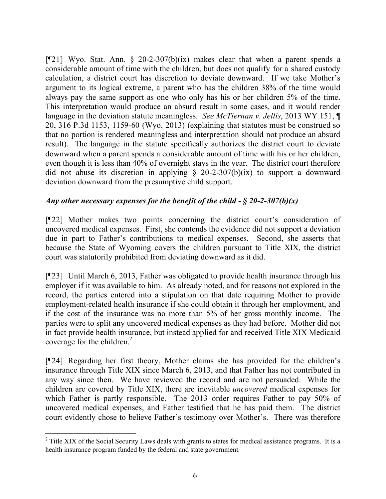[ $[21]$  Wyo. Stat. Ann. § 20-2-307(b)(ix) makes clear that when a parent spends a considerable amount of time with the children, but does not qualify for a shared custody calculation, a district court has discretion to deviate downward. If we take Mother's argument to its logical extreme, a parent who has the children 38% of the time would always pay the same support as one who only has his or her children 5% of the time. This interpretation would produce an absurd result in some cases, and it would render language in the deviation statute meaningless. *See McTiernan v. Jellis*, 2013 WY 151, ¶ 20, 316 P.3d 1153, 1159-60 (Wyo. 2013) (explaining that statutes must be construed so that no portion is rendered meaningless and interpretation should not produce an absurd result). The language in the statute specifically authorizes the district court to deviate downward when a parent spends a considerable amount of time with his or her children, even though it is less than 40% of overnight stays in the year. The district court therefore did not abuse its discretion in applying  $\S$  20-2-307(b)(ix) to support a downward deviation downward from the presumptive child support.

# *Any other necessary expenses for the benefit of the child - § 20-2-307(b)(x)*

[¶22] Mother makes two points concerning the district court's consideration of uncovered medical expenses. First, she contends the evidence did not support a deviation due in part to Father's contributions to medical expenses. Second, she asserts that because the State of Wyoming covers the children pursuant to Title XIX, the district court was statutorily prohibited from deviating downward as it did.

[¶23] Until March 6, 2013, Father was obligated to provide health insurance through his employer if it was available to him. As already noted, and for reasons not explored in the record, the parties entered into a stipulation on that date requiring Mother to provide employment-related health insurance if she could obtain it through her employment, and if the cost of the insurance was no more than 5% of her gross monthly income. The parties were to split any uncovered medical expenses as they had before. Mother did not in fact provide health insurance, but instead applied for and received Title XIX Medicaid coverage for the children. $2$ 

[¶24] Regarding her first theory, Mother claims she has provided for the children's insurance through Title XIX since March 6, 2013, and that Father has not contributed in any way since then. We have reviewed the record and are not persuaded. While the children are covered by Title XIX, there are inevitable *uncovered* medical expenses for which Father is partly responsible. The 2013 order requires Father to pay 50% of uncovered medical expenses, and Father testified that he has paid them. The district court evidently chose to believe Father's testimony over Mother's. There was therefore

<sup>&</sup>lt;sup>2</sup> Title XIX of the Social Security Laws deals with grants to states for medical assistance programs. It is a health insurance program funded by the federal and state government.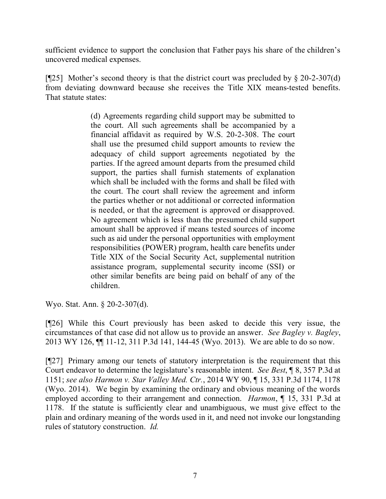sufficient evidence to support the conclusion that Father pays his share of the children's uncovered medical expenses.

[ $\sqrt{25}$ ] Mother's second theory is that the district court was precluded by § 20-2-307(d) from deviating downward because she receives the Title XIX means-tested benefits. That statute states:

> (d) Agreements regarding child support may be submitted to the court. All such agreements shall be accompanied by a financial affidavit as required by W.S. 20-2-308. The court shall use the presumed child support amounts to review the adequacy of child support agreements negotiated by the parties. If the agreed amount departs from the presumed child support, the parties shall furnish statements of explanation which shall be included with the forms and shall be filed with the court. The court shall review the agreement and inform the parties whether or not additional or corrected information is needed, or that the agreement is approved or disapproved. No agreement which is less than the presumed child support amount shall be approved if means tested sources of income such as aid under the personal opportunities with employment responsibilities (POWER) program, health care benefits under Title XIX of the Social Security Act, supplemental nutrition assistance program, supplemental security income (SSI) or other similar benefits are being paid on behalf of any of the children.

Wyo. Stat. Ann. § 20-2-307(d).

[¶26] While this Court previously has been asked to decide this very issue, the circumstances of that case did not allow us to provide an answer. *See Bagley v. Bagley*, 2013 WY 126, ¶¶ 11-12, 311 P.3d 141, 144-45 (Wyo. 2013). We are able to do so now.

[¶27] Primary among our tenets of statutory interpretation is the requirement that this Court endeavor to determine the legislature's reasonable intent. *See Best*, ¶ 8, 357 P.3d at 1151; *see also Harmon v. Star Valley Med. Ctr.*, 2014 WY 90, ¶ 15, 331 P.3d 1174, 1178 (Wyo. 2014). We begin by examining the ordinary and obvious meaning of the words employed according to their arrangement and connection. *Harmon*, ¶ 15, 331 P.3d at 1178. If the statute is sufficiently clear and unambiguous, we must give effect to the plain and ordinary meaning of the words used in it, and need not invoke our longstanding rules of statutory construction. *Id.*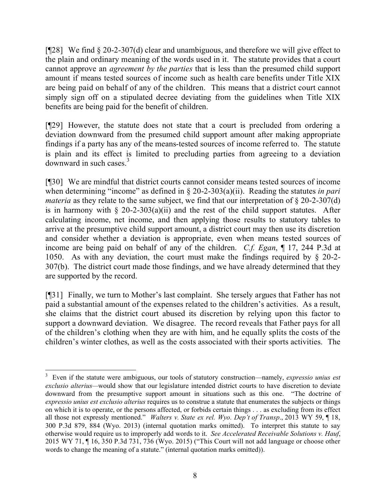[¶28] We find § 20-2-307(d) clear and unambiguous, and therefore we will give effect to the plain and ordinary meaning of the words used in it. The statute provides that a court cannot approve an *agreement by the parties* that is less than the presumed child support amount if means tested sources of income such as health care benefits under Title XIX are being paid on behalf of any of the children. This means that a district court cannot simply sign off on a stipulated decree deviating from the guidelines when Title XIX benefits are being paid for the benefit of children.

[¶29] However, the statute does not state that a court is precluded from ordering a deviation downward from the presumed child support amount after making appropriate findings if a party has any of the means-tested sources of income referred to. The statute is plain and its effect is limited to precluding parties from agreeing to a deviation downward in such cases. $3$ 

[¶30] We are mindful that district courts cannot consider means tested sources of income when determining "income" as defined in  $\S 20$ -2-303(a)(ii). Reading the statutes *in pari materia* as they relate to the same subject, we find that our interpretation of § 20-2-307(d) is in harmony with  $\S$  20-2-303(a)(ii) and the rest of the child support statutes. After calculating income, net income, and then applying those results to statutory tables to arrive at the presumptive child support amount, a district court may then use its discretion and consider whether a deviation is appropriate, even when means tested sources of income are being paid on behalf of any of the children. *C.f. Egan*, ¶ 17, 244 P.3d at 1050. As with any deviation, the court must make the findings required by § 20-2- 307(b). The district court made those findings, and we have already determined that they are supported by the record.

[¶31] Finally, we turn to Mother's last complaint. She tersely argues that Father has not paid a substantial amount of the expenses related to the children's activities. As a result, she claims that the district court abused its discretion by relying upon this factor to support a downward deviation. We disagree. The record reveals that Father pays for all of the children's clothing when they are with him, and he equally splits the costs of the children's winter clothes, as well as the costs associated with their sports activities. The

<sup>3</sup> Even if the statute were ambiguous, our tools of statutory construction—namely, *expressio unius est exclusio alterius—*would show that our legislature intended district courts to have discretion to deviate downward from the presumptive support amount in situations such as this one. "The doctrine of *expressio unius est exclusio alterius* requires us to construe a statute that enumerates the subjects or things on which it is to operate, or the persons affected, or forbids certain things . . . as excluding from its effect all those not expressly mentioned." *Walters v. State ex rel. Wyo. Dep't of Transp*., 2013 WY 59, ¶ 18, 300 P.3d 879, 884 (Wyo. 2013) (internal quotation marks omitted). To interpret this statute to say otherwise would require us to improperly add words to it. *See Accelerated Receivable Solutions v. Hauf*, 2015 WY 71, ¶ 16, 350 P.3d 731, 736 (Wyo. 2015) ("This Court will not add language or choose other words to change the meaning of a statute." (internal quotation marks omitted)).